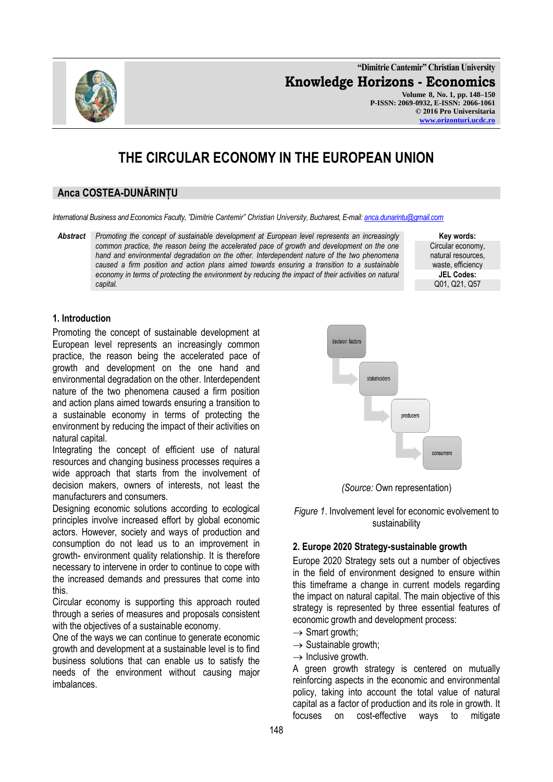**"Dimitrie Cantemir" Christian University Knowledge Horizons - Economics Volume 8, No. 1, pp. 148–150 P-ISSN: 2069-0932, E-ISSN: 2066-1061 © 2016 Pro Universitaria [www.orizonturi.ucdc.ro](http://www.orizonturi.ucdc.ro/)**

# **THE CIRCULAR ECONOMY IN THE EUROPEAN UNION**

## **Anca COSTEA-DUNĂRINȚU**

*International Business and Economics Faculty, "Dimitrie Cantemir" Christian University, Bucharest, E-mail[: anca.dunarintu@gmail.com](mailto:anca.dunarintu@gmail.com)*

*Abstract Promoting the concept of sustainable development at European level represents an increasingly common practice, the reason being the accelerated pace of growth and development on the one hand and environmental degradation on the other. Interdependent nature of the two phenomena caused a firm position and action plans aimed towards ensuring a transition to a sustainable economy in terms of protecting the environment by reducing the impact of their activities on natural capital.*

**Key words:** Circular economy, natural resources, waste, efficiency **JEL Codes:** Q01, Q21, Q57

### **1. Introduction**

Promoting the concept of sustainable development at European level represents an increasingly common practice, the reason being the accelerated pace of growth and development on the one hand and environmental degradation on the other. Interdependent nature of the two phenomena caused a firm position and action plans aimed towards ensuring a transition to a sustainable economy in terms of protecting the environment by reducing the impact of their activities on natural capital.

Integrating the concept of efficient use of natural resources and changing business processes requires a wide approach that starts from the involvement of decision makers, owners of interests, not least the manufacturers and consumers.

Designing economic solutions according to ecological principles involve increased effort by global economic actors. However, society and ways of production and consumption do not lead us to an improvement in growth- environment quality relationship. It is therefore necessary to intervene in order to continue to cope with the increased demands and pressures that come into this.

Circular economy is supporting this approach routed through a series of measures and proposals consistent with the objectives of a sustainable economy.

One of the ways we can continue to generate economic growth and development at a sustainable level is to find business solutions that can enable us to satisfy the needs of the environment without causing major imbalances.



*(Source:* Own representation)

*Figure 1*. Involvement level for economic evolvement to sustainability

#### **2. Europe 2020 Strategy-sustainable growth**

Europe 2020 Strategy sets out a number of objectives in the field of environment designed to ensure within this timeframe a change in current models regarding the impact on natural capital. The main objective of this strategy is represented by three essential features of economic growth and development process:

- $\rightarrow$  Smart growth;
- $\rightarrow$  Sustainable growth;
- $\rightarrow$  Inclusive growth.

A green growth strategy is centered on mutually reinforcing aspects in the economic and environmental policy, taking into account the total value of natural capital as a factor of production and its role in growth. It focuses on cost-effective ways to mitigate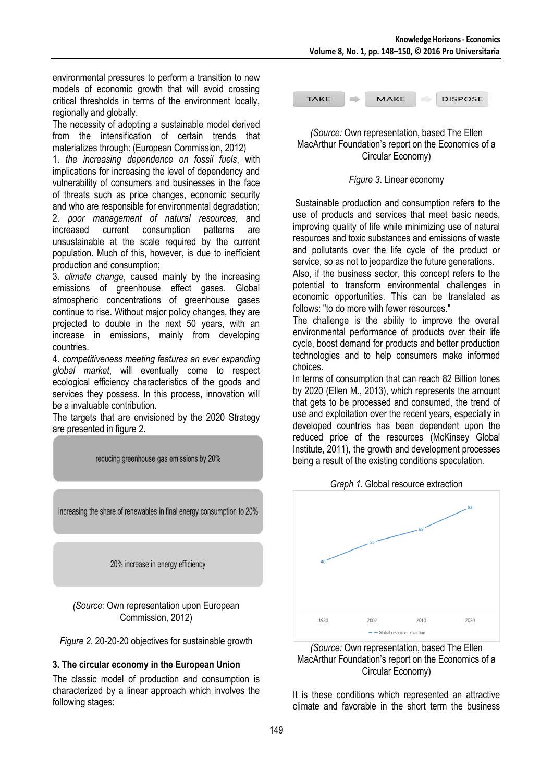environmental pressures to perform a transition to new models of economic growth that will avoid crossing critical thresholds in terms of the environment locally, regionally and globally.

The necessity of adopting a sustainable model derived from the intensification of certain trends that materializes through: (European Commission, 2012)

1. *the increasing dependence on fossil fuels*, with implications for increasing the level of dependency and vulnerability of consumers and businesses in the face of threats such as price changes, economic security and who are responsible for environmental degradation; 2. *poor management of natural resources*, and increased current consumption patterns are unsustainable at the scale required by the current population. Much of this, however, is due to inefficient production and consumption;

3. *climate change*, caused mainly by the increasing emissions of greenhouse effect gases. Global atmospheric concentrations of greenhouse gases continue to rise. Without major policy changes, they are projected to double in the next 50 years, with an increase in emissions, mainly from developing countries.

4. *competitiveness meeting features an ever expanding global market*, will eventually come to respect ecological efficiency characteristics of the goods and services they possess. In this process, innovation will be a invaluable contribution.

The targets that are envisioned by the 2020 Strategy are presented in figure 2.



## **3. The circular economy in the European Union**

The classic model of production and consumption is characterized by a linear approach which involves the following stages:



## *(Source:* Own representation, based The Ellen MacArthur Foundation's report on the Economics of a Circular Economy)

## *Figure 3*. Linear economy

Sustainable production and consumption refers to the use of products and services that meet basic needs, improving quality of life while minimizing use of natural resources and toxic substances and emissions of waste and pollutants over the life cycle of the product or service, so as not to jeopardize the future generations.

Also, if the business sector, this concept refers to the potential to transform environmental challenges in economic opportunities. This can be translated as follows: "to do more with fewer resources."

The challenge is the ability to improve the overall environmental performance of products over their life cycle, boost demand for products and better production technologies and to help consumers make informed choices.

In terms of consumption that can reach 82 Billion tones by 2020 (Ellen M., 2013), which represents the amount that gets to be processed and consumed, the trend of use and exploitation over the recent years, especially in developed countries has been dependent upon the reduced price of the resources (McKinsey Global Institute, 2011), the growth and development processes being a result of the existing conditions speculation.





It is these conditions which represented an attractive climate and favorable in the short term the business